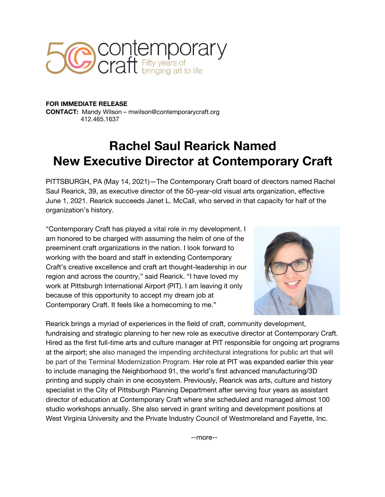

**FOR IMMEDIATE RELEASE CONTACT:** Mandy Wilson – mwilson@contemporarycraft.org 412.465.1637

## **Rachel Saul Rearick Named New Executive Director at Contemporary Craft**

PITTSBURGH, PA (May 14, 2021)—The Contemporary Craft board of directors named Rachel Saul Rearick, 39, as executive director of the 50-year-old visual arts organization, effective June 1, 2021. Rearick succeeds Janet L. McCall, who served in that capacity for half of the organization's history.

"Contemporary Craft has played a vital role in my development. I am honored to be charged with assuming the helm of one of the preeminent craft organizations in the nation. I look forward to working with the board and staff in extending Contemporary Craft's creative excellence and craft art thought-leadership in our region and across the country," said Rearick. "I have loved my work at Pittsburgh International Airport (PIT). I am leaving it only because of this opportunity to accept my dream job at Contemporary Craft. It feels like a homecoming to me."



Rearick brings a myriad of experiences in the field of craft, community development, fundraising and strategic planning to her new role as executive director at Contemporary Craft. Hired as the first full-time arts and culture manager at PIT responsible for ongoing art programs at the airport; she also managed the impending architectural integrations for public art that will be part of the Terminal Modernization Program. Her role at PIT was expanded earlier this year to include managing the Neighborhood 91, the world's first advanced manufacturing/3D printing and supply chain in one ecosystem. Previously, Rearick was arts, culture and history specialist in the City of Pittsburgh Planning Department after serving four years as assistant director of education at Contemporary Craft where she scheduled and managed almost 100 studio workshops annually. She also served in grant writing and development positions at West Virginia University and the Private Industry Council of Westmoreland and Fayette, Inc.

--more--